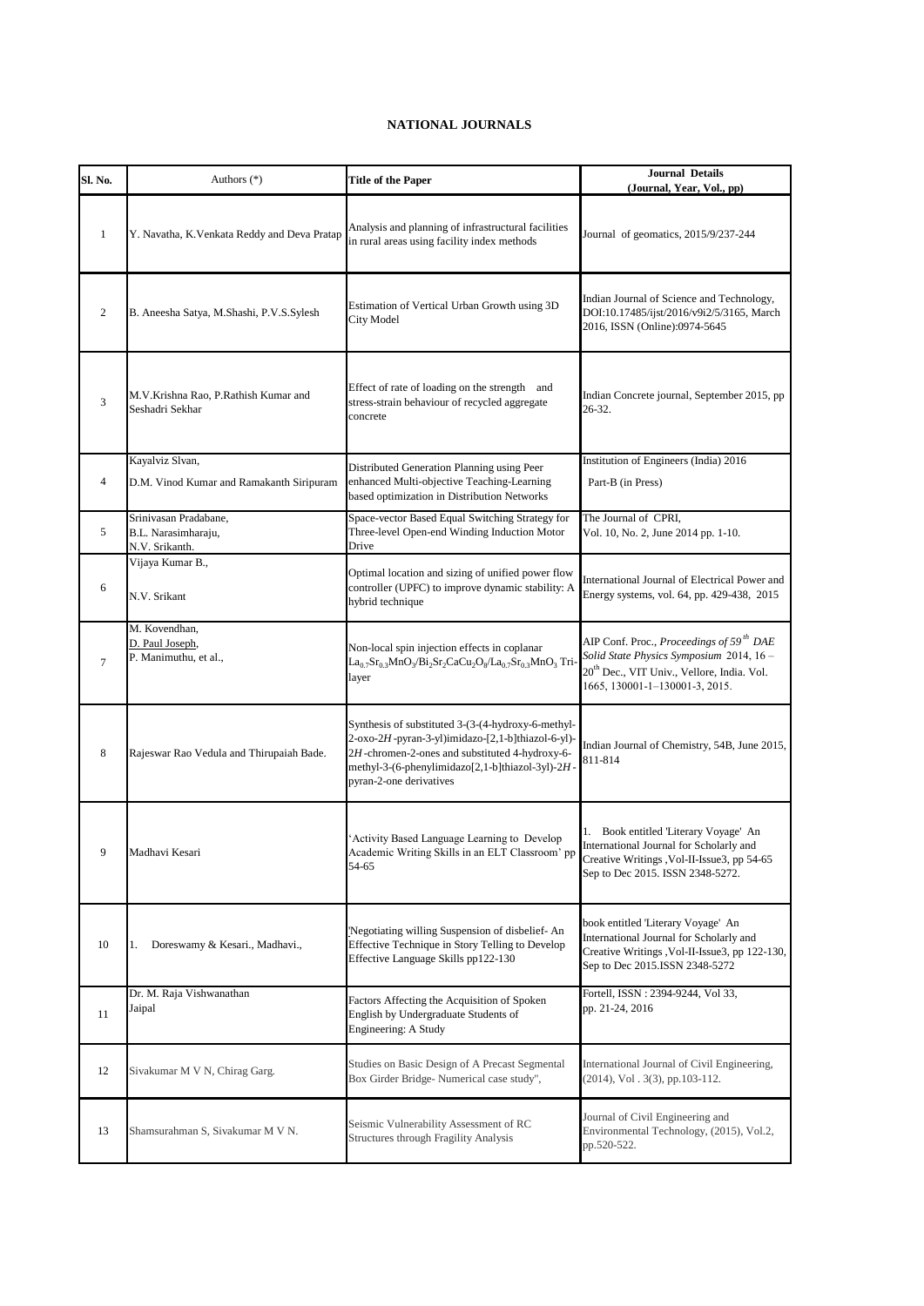## **NATIONAL JOURNALS**

| Sl. No.        | Authors (*)                                                    | <b>Title of the Paper</b>                                                                                                                                                                                                                | <b>Journal Details</b><br>(Journal, Year, Vol., pp)                                                                                                                                         |
|----------------|----------------------------------------------------------------|------------------------------------------------------------------------------------------------------------------------------------------------------------------------------------------------------------------------------------------|---------------------------------------------------------------------------------------------------------------------------------------------------------------------------------------------|
| $\mathbf{1}$   | Y. Navatha, K. Venkata Reddy and Deva Pratap                   | Analysis and planning of infrastructural facilities<br>in rural areas using facility index methods                                                                                                                                       | Journal of geomatics, 2015/9/237-244                                                                                                                                                        |
| $\mathfrak{2}$ | B. Aneesha Satya, M.Shashi, P.V.S.Sylesh                       | Estimation of Vertical Urban Growth using 3D<br>City Model                                                                                                                                                                               | Indian Journal of Science and Technology,<br>DOI:10.17485/ijst/2016/v9i2/5/3165, March<br>2016, ISSN (Online):0974-5645                                                                     |
| 3              | M.V.Krishna Rao, P.Rathish Kumar and<br>Seshadri Sekhar        | Effect of rate of loading on the strength and<br>stress-strain behaviour of recycled aggregate<br>concrete                                                                                                                               | Indian Concrete journal, September 2015, pp<br>26-32.                                                                                                                                       |
| $\overline{4}$ | Kayalviz Slvan,<br>D.M. Vinod Kumar and Ramakanth Siripuram    | Distributed Generation Planning using Peer<br>enhanced Multi-objective Teaching-Learning<br>based optimization in Distribution Networks                                                                                                  | Institution of Engineers (India) 2016<br>Part-B (in Press)                                                                                                                                  |
| 5              | Srinivasan Pradabane,<br>B.L. Narasimharaju,<br>N.V. Srikanth. | Space-vector Based Equal Switching Strategy for<br>Three-level Open-end Winding Induction Motor<br>Drive                                                                                                                                 | The Journal of CPRI.<br>Vol. 10, No. 2, June 2014 pp. 1-10.                                                                                                                                 |
| 6              | Vijaya Kumar B.,<br>N.V. Srikant                               | Optimal location and sizing of unified power flow<br>controller (UPFC) to improve dynamic stability: A<br>hybrid technique                                                                                                               | International Journal of Electrical Power and<br>Energy systems, vol. 64, pp. 429-438, 2015                                                                                                 |
| $\tau$         | M. Kovendhan,<br>D. Paul Joseph,<br>P. Manimuthu, et al.,      | Non-local spin injection effects in coplanar<br>$La_{0.7}Sr_{0.3}MnO_3/Bi_2Sr_2CaCu_2O_8/La_{0.7}Sr_{0.3}MnO_3$ Tri-<br>layer                                                                                                            | AIP Conf. Proc., Proceedings of 59 <sup>th</sup> DAE<br>Solid State Physics Symposium 2014, 16-<br>20 <sup>th</sup> Dec., VIT Univ., Vellore, India. Vol.<br>1665, 130001-1-130001-3, 2015. |
| 8              | Rajeswar Rao Vedula and Thirupaiah Bade.                       | Synthesis of substituted 3-(3-(4-hydroxy-6-methyl-<br>2-oxo-2H-pyran-3-yl)imidazo-[2,1-b]thiazol-6-yl)-<br>2H-chromen-2-ones and substituted 4-hydroxy-6-<br>methyl-3-(6-phenylimidazo[2,1-b]thiazol-3yl)-2H-<br>pyran-2-one derivatives | Indian Journal of Chemistry, 54B, June 2015,<br>811-814                                                                                                                                     |
| 9              | Madhavi Kesari                                                 | 'Activity Based Language Learning to Develop<br>Academic Writing Skills in an ELT Classroom' pp<br>54-65                                                                                                                                 | 1. Book entitled Literary Voyage' An<br>International Journal for Scholarly and<br>Creative Writings , Vol-II-Issue3, pp 54-65<br>Sep to Dec 2015. ISSN 2348-5272.                          |
| 10             | Doreswamy & Kesari., Madhavi.,<br>1.                           | 'Negotiating willing Suspension of disbelief- An<br>Effective Technique in Story Telling to Develop<br>Effective Language Skills pp122-130                                                                                               | book entitled 'Literary Voyage' An<br>International Journal for Scholarly and<br>Creative Writings, Vol-II-Issue3, pp 122-130,<br>Sep to Dec 2015.ISSN 2348-5272                            |
| 11             | Dr. M. Raja Vishwanathan<br>Jaipal                             | Factors Affecting the Acquisition of Spoken<br>English by Undergraduate Students of<br>Engineering: A Study                                                                                                                              | Fortell, ISSN: 2394-9244, Vol 33,<br>pp. 21-24, 2016                                                                                                                                        |
| 12             | Sivakumar M V N, Chirag Garg.                                  | Studies on Basic Design of A Precast Segmental<br>Box Girder Bridge- Numerical case study",                                                                                                                                              | International Journal of Civil Engineering,<br>$(2014)$ , Vol. 3(3), pp.103-112.                                                                                                            |
| 13             | Shamsurahman S, Sivakumar M V N.                               | Seismic Vulnerability Assessment of RC<br>Structures through Fragility Analysis                                                                                                                                                          | Journal of Civil Engineering and<br>Environmental Technology, (2015), Vol.2,<br>pp.520-522.                                                                                                 |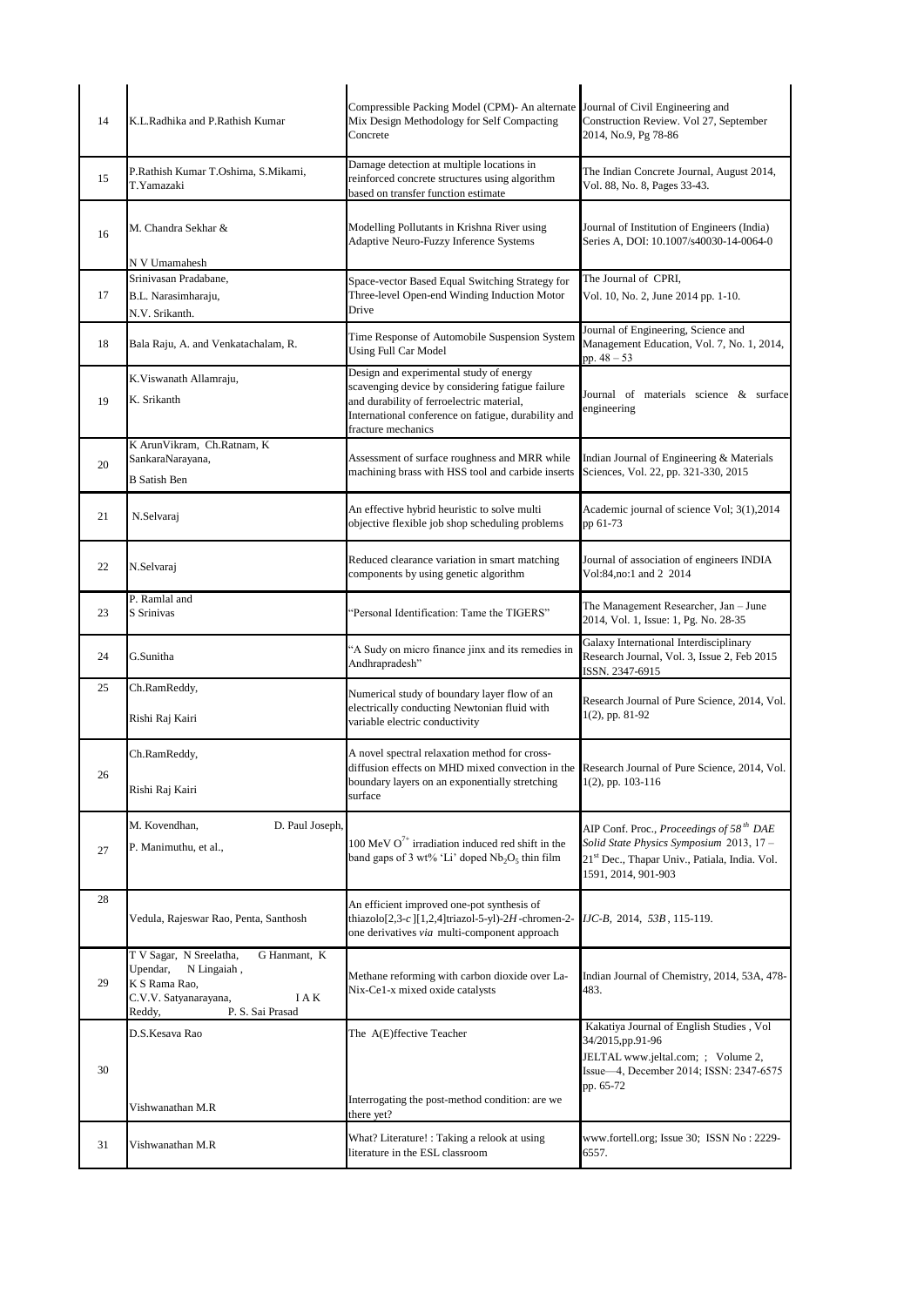| 14 | K.L.Radhika and P.Rathish Kumar                                                                                                                     | Compressible Packing Model (CPM)- An alternate<br>Mix Design Methodology for Self Compacting<br>Concrete                                                                                                              | Journal of Civil Engineering and<br>Construction Review. Vol 27, September<br>2014, No.9, Pg 78-86                                                                                  |
|----|-----------------------------------------------------------------------------------------------------------------------------------------------------|-----------------------------------------------------------------------------------------------------------------------------------------------------------------------------------------------------------------------|-------------------------------------------------------------------------------------------------------------------------------------------------------------------------------------|
| 15 | P.Rathish Kumar T.Oshima, S.Mikami,<br>T.Yamazaki                                                                                                   | Damage detection at multiple locations in<br>reinforced concrete structures using algorithm<br>based on transfer function estimate                                                                                    | The Indian Concrete Journal, August 2014,<br>Vol. 88, No. 8, Pages 33-43.                                                                                                           |
| 16 | M. Chandra Sekhar &                                                                                                                                 | Modelling Pollutants in Krishna River using<br>Adaptive Neuro-Fuzzy Inference Systems                                                                                                                                 | Journal of Institution of Engineers (India)<br>Series A, DOI: 10.1007/s40030-14-0064-0                                                                                              |
| 17 | N V Umamahesh<br>Srinivasan Pradabane,<br>B.L. Narasimharaju,<br>N.V. Srikanth.                                                                     | Space-vector Based Equal Switching Strategy for<br>Three-level Open-end Winding Induction Motor<br>Drive                                                                                                              | The Journal of CPRI.<br>Vol. 10, No. 2, June 2014 pp. 1-10.                                                                                                                         |
| 18 | Bala Raju, A. and Venkatachalam, R.                                                                                                                 | Time Response of Automobile Suspension System<br><b>Using Full Car Model</b>                                                                                                                                          | Journal of Engineering, Science and<br>Management Education, Vol. 7, No. 1, 2014,<br>pp. $48 - 53$                                                                                  |
| 19 | K.Viswanath Allamraju,<br>K. Srikanth                                                                                                               | Design and experimental study of energy<br>scavenging device by considering fatigue failure<br>and durability of ferroelectric material,<br>International conference on fatigue, durability and<br>fracture mechanics | Journal of materials science & surface<br>engineering                                                                                                                               |
| 20 | K Arun Vikram, Ch.Ratnam, K<br>SankaraNarayana,<br><b>B</b> Satish Ben                                                                              | Assessment of surface roughness and MRR while<br>machining brass with HSS tool and carbide inserts                                                                                                                    | Indian Journal of Engineering & Materials<br>Sciences, Vol. 22, pp. 321-330, 2015                                                                                                   |
| 21 | N.Selvaraj                                                                                                                                          | An effective hybrid heuristic to solve multi<br>objective flexible job shop scheduling problems                                                                                                                       | Academic journal of science Vol; 3(1),2014<br>pp 61-73                                                                                                                              |
| 22 | N.Selvaraj                                                                                                                                          | Reduced clearance variation in smart matching<br>components by using genetic algorithm                                                                                                                                | Journal of association of engineers INDIA<br>Vol:84, no:1 and 2 2014                                                                                                                |
| 23 | P. Ramlal and<br>S Srinivas                                                                                                                         | 'Personal Identification: Tame the TIGERS"                                                                                                                                                                            | The Management Researcher, Jan - June<br>2014, Vol. 1, Issue: 1, Pg. No. 28-35                                                                                                      |
| 24 | G.Sunitha                                                                                                                                           | 'A Sudy on micro finance jinx and its remedies in<br>Andhrapradesh"                                                                                                                                                   | Galaxy International Interdisciplinary<br>Research Journal, Vol. 3, Issue 2, Feb 2015<br>ISSN. 2347-6915                                                                            |
| 25 | Ch.RamReddy,<br>Rishi Raj Kairi                                                                                                                     | Numerical study of boundary layer flow of an<br>electrically conducting Newtonian fluid with<br>variable electric conductivity                                                                                        | Research Journal of Pure Science, 2014, Vol.<br>1(2), pp. 81-92                                                                                                                     |
| 26 | Ch.RamReddy,<br>Rishi Raj Kairi                                                                                                                     | A novel spectral relaxation method for cross-<br>diffusion effects on MHD mixed convection in the<br>boundary layers on an exponentially stretching<br>surface                                                        | Research Journal of Pure Science, 2014, Vol.<br>$1(2)$ , pp. 103-116                                                                                                                |
| 27 | M. Kovendhan,<br>D. Paul Joseph,<br>P. Manimuthu, et al.,                                                                                           | 100 MeV $O^{7+}$ irradiation induced red shift in the<br>band gaps of 3 wt% 'Li' doped $Nb_2O_5$ thin film                                                                                                            | AIP Conf. Proc., Proceedings of 58 <sup>th</sup> DAE<br>Solid State Physics Symposium 2013, 17-<br>21 <sup>st</sup> Dec., Thapar Univ., Patiala, India. Vol.<br>1591, 2014, 901-903 |
| 28 | Vedula, Rajeswar Rao, Penta, Santhosh                                                                                                               | An efficient improved one-pot synthesis of<br>thiazolo <sup>[2,3-c</sup> ][1,2,4]triazol-5-yl)-2H-chromen-2-<br>one derivatives via multi-component approach                                                          | IJC-B, 2014, 53B, 115-119.                                                                                                                                                          |
| 29 | T V Sagar, N Sreelatha,<br>G Hanmant, K<br>Upendar,<br>N Lingaiah,<br>K S Rama Rao,<br>C.V.V. Satyanarayana,<br>I A K<br>Reddy,<br>P. S. Sai Prasad | Methane reforming with carbon dioxide over La-<br>Nix-Ce1-x mixed oxide catalysts                                                                                                                                     | Indian Journal of Chemistry, 2014, 53A, 478-<br>483.                                                                                                                                |
| 30 | D.S.Kesava Rao                                                                                                                                      | The A(E)ffective Teacher                                                                                                                                                                                              | Kakatiya Journal of English Studies, Vol<br>34/2015,pp.91-96<br>JELTAL www.jeltal.com; ; Volume 2,<br>Issue-4, December 2014; ISSN: 2347-6575                                       |
|    | Vishwanathan M.R                                                                                                                                    | Interrogating the post-method condition: are we<br>there yet?                                                                                                                                                         | pp. 65-72                                                                                                                                                                           |
| 31 | Vishwanathan M.R                                                                                                                                    | What? Literature!: Taking a relook at using<br>literature in the ESL classroom                                                                                                                                        | www.fortell.org; Issue 30; ISSN No: 2229-<br>6557.                                                                                                                                  |